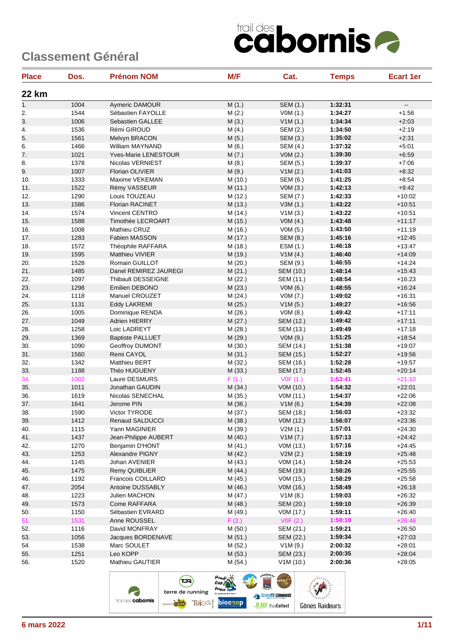| <b>Place</b> | Dos. | <b>Prénom NOM</b>       | M/F     | Cat.             | <b>Temps</b> | <b>Ecart 1er</b>         |
|--------------|------|-------------------------|---------|------------------|--------------|--------------------------|
| <b>22 km</b> |      |                         |         |                  |              |                          |
| 1.           | 1004 | Aymeric DAMOUR          | M(1.)   | SEM (1.)         | 1:32:31      | $\overline{\phantom{a}}$ |
| 2.           | 1544 | Sébastien FAYOLLE       | M(2.)   | VOM(1.)          | 1:34:27      | $+1:56$                  |
| 3.           | 1006 | Sebastien GALLEE        | M(3.)   | V1M(1.)          | 1:34:34      | $+2:03$                  |
| 4.           | 1536 | Rémi GIROUD             | M(4.)   | SEM (2.)         | 1:34:50      | $+2:19$                  |
| 5.           | 1561 | Melvyn BRACON           | M(5.)   | SEM (3.)         | 1:35:02      | $+2:31$                  |
| 6.           | 1466 | William MAYNAND         | M(6.)   | SEM (4.)         | 1:37:32      | $+5:01$                  |
| 7.           | 1021 | Yves-Marie LENESTOUR    | M(7.)   | VOM(2.)          | 1:39:30      | $+6:59$                  |
| 8.           | 1378 | Nicolas VERNIEST        | M(8.)   | SEM (5.)         | 1:39:37      | $+7:06$                  |
| 9.           | 1007 | <b>Florian OLIVIER</b>  | M(9.)   | V1M(2.)          | 1:41:03      | $+8:32$                  |
| 10.          | 1333 | Maxime VEKEMAN          | M (10.) | SEM (6.)         | 1:41:25      | $+8:54$                  |
| 11.          | 1522 | Rémy VASSEUR            | M (11.) | VOM(3.)          | 1:42:13      | $+9:42$                  |
| 12.          | 1290 | Louis TOUZEAU           | M(12.)  | SEM (7.)         | 1:42:33      | $+10:02$                 |
| 13.          | 1586 | Florian RACINET         | M (13.) | V3M(1.)          | 1:43:22      | $+10:51$                 |
| 14.          | 1574 | Vincent CENTRO          | M (14.) | V1M(3.)          | 1:43:22      | $+10.51$                 |
| 15.          | 1588 | Timothée LECROART       | M (15.) | VOM(4.)          | 1:43:48      | $+11:17$                 |
| 16.          | 1008 | Mathieu CRUZ            | M (16.) | VOM(5.)          | 1:43:50      | $+11:19$                 |
| 17.          | 1283 | Fabien MASSON           | M (17.) | SEM (8.)         | 1:45:16      | $+12:45$                 |
| 18.          | 1572 | Théophile RAFFARA       | M (18.) | ESM (1.)         | 1:46:18      | $+13:47$                 |
| 19.          | 1595 | Matthieu VIVIER         | M (19.) | V1M(4.)          | 1:46:40      | $+14:09$                 |
| 20.          | 1528 | Romain GUILLOT          | M (20.) | SEM (9.)         | 1:46:55      | $+14.24$                 |
| 21.          | 1485 | Danel REMIREZ JAUREGI   | M(21.)  | <b>SEM (10.)</b> | 1:48:14      | $+15:43$                 |
| 22.          | 1097 | Thibault DESSEIGNE      | M (22.) | SEM (11.)        | 1:48:54      | $+16:23$                 |
| 23.          | 1298 | Emilien DEBONO          | M(23.)  | VOM(6.)          | 1:48:55      | $+16:24$                 |
| 24.          | 1118 | Manuel CROUZET          | M (24.) | VOM(7.)          | 1:49:02      | $+16.31$                 |
| 25.          | 1131 | Eddy LAKREMI            | M (25.) | V1M(5.)          | 1:49:27      | $+16:56$                 |
| 26.          | 1005 | Dominique RENDA         | M (26.) | VOM(8.)          | 1:49:42      | $+17:11$                 |
| 27.          | 1049 | Adrien HIERRY           | M (27.) | SEM (12.)        | 1:49:42      | $+17:11$                 |
| 28.          | 1258 | Loic LADREYT            | M (28.) | SEM (13.)        | 1:49:49      | $+17:18$                 |
| 29.          | 1369 | <b>Baptiste PALLUET</b> | M (29.) | VOM(9.)          | 1:51:25      | $+18:54$                 |
| 30.          | 1090 | Geoffroy DUMONT         | M (30.) | SEM (14.)        | 1:51:38      | $+19:07$                 |
| 31.          | 1560 | Remi CAYOL              | M (31.) | SEM (15.)        | 1:52:27      | $+19:56$                 |
| 32.          | 1342 | Matthieu BERT           | M (32.) | SEM (16.)        | 1:52:28      | $+19:57$                 |
| 33.          | 1188 | Théo HUGUENY            | M(33.)  | SEM (17.)        | 1:52:45      | $+20:14$                 |
| 34.          | 1002 | Laure DESMURS           | F(1.)   | VOF(1.)          | 1:53:41      | $+21:10$                 |
| 35.          | 1011 | Jonathan GAUDIN         | M (34.) | V0M (10.)        | 1:54:32      | $+22:01$                 |
| 36.          | 1619 | Nicolas SENECHAL        | M (35.) | VOM (11.)        | 1:54:37      | $+22:06$                 |
| 37.          | 1641 | Jerome PIN              | M (36.) | V1M(6.)          | 1:54:39      | $+22:08$                 |
| 38.          | 1590 | Victor TYRODE           | M (37.) | SEM (18.)        | 1:56:03      | $+23:32$                 |
| 39.          | 1412 | Renaud SALDUCCI         | M (38.) | V0M (12.)        | 1:56:07      | $+23:36$                 |
| 40.          | 1115 | Yann MAGINIER           | M (39.) | V2M(1.)          | 1:57:01      | $+24:30$                 |
| 41.          | 1437 | Jean-Philippe AUBERT    | M (40.) | V1M(7.)          | 1:57:13      | $+24:42$                 |
| 42.          | 1270 | Benjamin D'HONT         | M (41.) | V0M (13.)        | 1:57:16      | $+24:45$                 |
| 43.          | 1253 | Alexandre PIGNY         | M (42.) | V2M(2.)          | 1:58:19      | $+25:48$                 |
| 44.          | 1145 | Johan AVENIER           | M (43.) | V0M (14.)        | 1:58:24      | $+25:53$                 |
| 45.          | 1475 | Remy QUIBLIER           | M (44.) | SEM (19.)        | 1:58:26      | $+25:55$                 |
|              | 1192 | Francois COILLARD       |         | V0M (15.)        | 1:58:29      | $+25:58$                 |
| 46.          |      |                         | M (45.) |                  | 1:58:49      |                          |
| 47.          | 2054 | Antoine DUSSABLY        | M (46.) | V0M (16.)        |              | $+26:18$                 |
| 48.          | 1223 | Julien MACHON           | M (47.) | V1M(8.)          | 1:59:03      | $+26:32$                 |
| 49.          | 1573 | Come RAFFARA            | M (48.) | SEM (20.)        | 1:59:10      | $+26:39$                 |
| 50.          | 1150 | Sébastien EVRARD        | M (49.) | V0M (17.)        | 1:59:11      | $+26:40$                 |
| 51.          | 1531 | Anne ROUSSEL            | F(2.)   | VOF(2.)          | 1:59:19      | $+26:48$                 |
| 52.          | 1116 | David MONFRAY           | M (50.) | SEM (21.)        | 1:59:21      | $+26:50$                 |
| 53.          | 1056 | Jacques BORDENAVE       | M (51.) | SEM (22.)        | 1:59:34      | $+27:03$                 |
| 54.          | 1538 | Marc SOULET             | M (52.) | V1M(9.)          | 2:00:32      | $+28:01$                 |
| 55.          | 1251 | Leo KOPP                | M (53.) | SEM (23.)        | 2:00:35      | $+28:04$                 |
| 56.          | 1520 | Mathieu GAUTIER         | M (54.) | V1M(10.)         | 2:00:36      | $+28:05$                 |

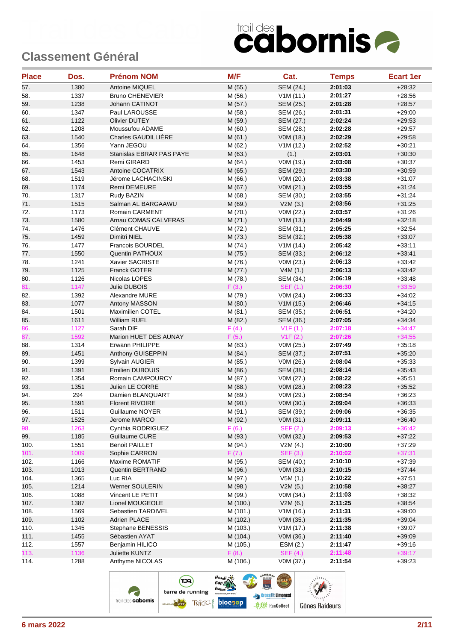| <b>Place</b> | Dos. | <b>Prénom NOM</b>        | M/F      | Cat.            | <b>Temps</b> | <b>Ecart 1er</b> |
|--------------|------|--------------------------|----------|-----------------|--------------|------------------|
| 57.          | 1380 | Antoine MIQUEL           | M (55.)  | SEM (24.)       | 2:01:03      | $+28:32$         |
| 58.          | 1337 | <b>Bruno CHENEVIER</b>   | M (56.)  | V1M(11.)        | 2:01:27      | $+28:56$         |
| 59.          | 1238 | Johann CATINOT           | M (57.)  | SEM (25.)       | 2:01:28      | $+28:57$         |
| 60.          | 1347 | Paul LAROUSSE            | M (58.)  | SEM (26.)       | 2:01:31      | $+29:00$         |
| 61.          | 1122 | <b>Olivier DUTEY</b>     | M (59.)  | SEM (27.)       | 2:02:24      | $+29:53$         |
| 62.          | 1208 | Moussufou ADAME          | M (60.)  | SEM (28.)       | 2:02:28      | $+29:57$         |
| 63.          | 1540 | Charles GAUDILLIÈRE      | M (61.)  | VOM (18.)       | 2:02:29      | $+29:58$         |
| 64.          | 1356 | Yann JEGOU               | M (62.)  | V1M(12.)        | 2:02:52      | $+30:21$         |
| 65.          | 1648 | Stanislas EBRAR PAS PAYE | M (63.)  | (1.)            | 2:03:01      | $+30:30$         |
| 66.          | 1453 | Remi GIRARD              | M (64.)  | V0M (19.)       | 2:03:08      | $+30:37$         |
| 67.          | 1543 | Antoine COCATRIX         | M (65.)  | SEM (29.)       | 2:03:30      | $+30:59$         |
| 68.          | 1519 | Jérome LACHACINSKI       | M (66.)  | V0M (20.)       | 2:03:38      | $+31:07$         |
| 69.          | 1174 | Remi DEMEURE             | M (67.)  | VOM (21.)       | 2:03:55      | $+31:24$         |
| 70.          | 1317 | Rudy BAZIN               | M (68.)  | SEM (30.)       | 2:03:55      | $+31:24$         |
| 71.          | 1515 | Salman AL BARGAAWU       | M (69.)  | V2M(3.)         | 2:03:56      | $+31:25$         |
| 72.          | 1173 | Romain CARMENT           | M (70.)  | V0M (22.)       | 2:03:57      | $+31:26$         |
| 73.          | 1580 | Arnau COMAS CALVERAS     | M(71.)   | V1M(13.)        | 2:04:49      | $+32:18$         |
| 74.          | 1476 | Clément CHAUVE           | M (72.)  | SEM (31.)       | 2:05:25      | $+32:54$         |
| 75.          | 1459 | Dimitri NIEL             | M (73.)  | SEM (32.)       | 2:05:38      | $+33:07$         |
| 76.          | 1477 | Francois BOURDEL         | M (74.)  | V1M(14.)        | 2:05:42      | $+33:11$         |
| 77.          | 1550 | <b>Quentin PATHOUX</b>   | M (75.)  | SEM (33.)       | 2:06:12      | $+33.41$         |
| 78.          | 1241 | Xavier SACRISTE          | M (76.)  | V0M (23.)       | 2:06:13      | $+33:42$         |
| 79.          | 1125 | Franck GOTER             | M (77.)  | V4M(1.)         | 2:06:13      | $+33:42$         |
| 80.          | 1126 | Nicolas LOPES            | M (78.)  | SEM (34.)       | 2:06:19      | $+33:48$         |
| 81.          | 1147 | Julie DUBOIS             | F(3.)    | <b>SEF (1.)</b> | 2:06:30      | $+33:59$         |
| 82.          | 1392 | Alexandre MURE           | M (79.)  | VOM (24.)       | 2:06:33      | $+34:02$         |
| 83.          | 1077 | Antony MASSON            | M (80.)  | V1M(15.)        | 2:06:46      | $+34:15$         |
| 84.          | 1501 | Maximilien COTEL         | M (81.)  | SEM (35.)       | 2:06:51      | $+34:20$         |
| 85.          | 1611 | <b>William RUEL</b>      | M (82.)  | SEM (36.)       | 2:07:05      | $+34:34$         |
| 86.          | 1127 | Sarah DIF                | F(4.)    | V1F(1.)         | 2:07:18      | $+34:47$         |
| 87.          | 1592 | Marion HUET DES AUNAY    | F(5.)    | V1F(2.)         | 2:07:26      | $+34:55$         |
| 88.          | 1314 | Erwann PHILIPPE          | M (83.)  | V0M (25.)       | 2:07:49      | $+35:18$         |
| 89.          | 1451 | Anthony GUISEPPIN        | M (84.)  | SEM (37.)       | 2:07:51      | $+35:20$         |
| 90.          | 1399 | Sylvain AUGIER           | M (85.)  | V0M (26.)       | 2:08:04      | $+35:33$         |
| 91.          | 1391 | <b>Emilien DUBOUIS</b>   | M (86.)  | SEM (38.)       | 2:08:14      | $+35:43$         |
| 92.          | 1354 | Romain CAMPOURCY         | M (87.)  | V0M (27.)       | 2:08:22      | $+35:51$         |
| 93.          | 1351 | Julien LE CORRE          | M (88.)  | V0M (28.)       | 2:08:23      | $+35:52$         |
| 94.          | 294  | Damien BLANQUART         | M (89.)  | V0M (29.)       | 2:08:54      | $+36:23$         |
| 95.          | 1591 | <b>Florent RIVOIRE</b>   | M (90.)  | V0M (30.)       | 2:09:04      | $+36:33$         |
| 96.          | 1511 | Guillaume NOYER          | M (91.)  | SEM (39.)       | 2:09:06      | $+36:35$         |
| 97.          | 1525 | Jerome MARCO             | M (92.)  | V0M (31.)       | 2:09:11      | $+36:40$         |
| 98.          | 1263 | Cynthia RODRIGUEZ        | F(6.)    | <b>SEF (2.)</b> | 2:09:13      | $+36:42$         |
| 99.          | 1185 | Guillaume CURE           | M (93.)  | V0M (32.)       | 2:09:53      | $+37:22$         |
| 100.         | 1551 | <b>Benoit PAILLET</b>    | M (94.)  | V2M(4.)         | 2:10:00      | $+37:29$         |
| 101.         | 1009 | Sophie CARRON            | F(7.)    | <b>SEF (3.)</b> | 2:10:02      | $+37:31$         |
| 102.         | 1166 | Maxime ROMATIF           | M (95.)  | SEM (40.)       | 2:10:10      | $+37:39$         |
| 103.         | 1013 | Quentin BERTRAND         | M (96.)  | V0M (33.)       | 2:10:15      | $+37:44$         |
| 104.         | 1365 | Luc RIA                  | M (97.)  | V5M(1.)         | 2:10:22      | $+37:51$         |
| 105.         | 1214 | Werner SOULERIN          | M (98.)  | V2M(5.)         | 2:10:58      | $+38:27$         |
| 106.         | 1088 | Vincent LE PETIT         | M (99.)  | V0M (34.)       | 2:11:03      | $+38:32$         |
| 107.         | 1387 | Lionel MOUGEOLE          | M (100.) | V2M(6.)         | 2:11:25      | $+38:54$         |
| 108.         | 1569 | Sebastien TARDIVEL       | M (101.) | V1M(16.)        | 2:11:31      | $+39:00$         |
| 109.         | 1102 | <b>Adrien PLACE</b>      | M (102.) | V0M (35.)       | 2:11:35      | $+39:04$         |
| 110.         | 1345 | Stephane BENESSIS        | M (103.) | V1M(17.)        | 2:11:38      | $+39:07$         |
| 111.         | 1455 | Sébastien AYAT           | M (104.) | V0M (36.)       | 2:11:40      | $+39:09$         |
| 112.         | 1557 | Benjamin HILICO          | M (105.) | ESM (2.)        | 2:11:47      | $+39:16$         |
| 113.         | 1136 | Juliette KUNTZ           | F(8.)    | <b>SEF (4.)</b> | 2:11:48      | $+39:17$         |
| 114.         | 1288 | Anthyme NICOLAS          | M (106.) | V0M (37.)       | 2:11:54      | $+39.23$         |
|              |      |                          |          |                 |              |                  |

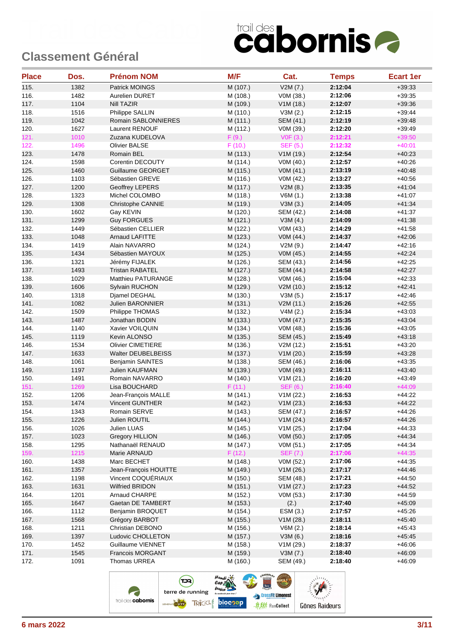| <b>Place</b> | Dos. | <b>Prénom NOM</b>         | M/F      | Cat.             | <b>Temps</b> | <b>Ecart 1er</b> |
|--------------|------|---------------------------|----------|------------------|--------------|------------------|
| 115.         | 1382 | Patrick MOINGS            | M (107.) | V2M(7.)          | 2:12:04      | $+39:33$         |
| 116.         | 1482 | Aurelien DURET            | M (108.) | V0M (38.)        | 2:12:06      | $+39:35$         |
| 117.         | 1104 | Nill TAZIR                | M (109.) | V1M(18.)         | 2:12:07      | $+39.36$         |
| 118.         | 1516 | Philippe SALLIN           | M (110.) | V3M(2.)          | 2:12:15      | $+39.44$         |
| 119.         | 1042 | Romain SABLONNIERES       | M (111.) | SEM (41.)        | 2:12:19      | $+39.48$         |
| 120.         | 1627 | Laurent RENOUF            | M (112.) | V0M (39.)        | 2:12:20      | $+39:49$         |
| 121.         | 1010 | Zuzana KUDELOVA           | F(9.)    | VOF(3.)          | 2:12:21      | $+39:50$         |
| 122.         | 1496 | <b>Olivier BALSE</b>      | F(10.)   | SEF (5.)         | 2:12:32      | $+40:01$         |
| 123.         | 1478 | Romain BEL                | M (113.) | V1M(19.)         | 2:12:54      | $+40.23$         |
| 124.         | 1598 | Corentin DECOUTY          | M (114.) | V0M (40.)        | 2:12:57      | $+40.26$         |
| 125.         | 1460 | Guillaume GEORGET         | M (115.) | VOM(41.)         | 2:13:19      | $+40:48$         |
| 126.         | 1103 | Sébastien GREVE           | M (116.) | V0M (42.)        | 2:13:27      | $+40:56$         |
| 127.         | 1200 | <b>Geoffrey LEPERS</b>    | M (117.) | V2M(8.)          | 2:13:35      | $+41:04$         |
| 128.         | 1323 | Michel COLOMBO            | M (118.) | V6M(1.)          | 2:13:38      | $+41:07$         |
| 129.         | 1308 | Christophe CANNIE         | M (119.) | V3M(3.)          | 2:14:05      | $+41:34$         |
| 130.         | 1602 | Gay KEVIN                 | M (120.) | SEM (42.)        | 2:14:08      | $+41:37$         |
| 131.         | 1299 | <b>Guy FORGUES</b>        | M (121.) | V3M(4.)          | 2:14:09      | $+41:38$         |
| 132.         | 1449 | Sébastien CELLIER         | M (122.) | V0M (43.)        | 2:14:29      | $+41:58$         |
| 133.         | 1048 | <b>Arnaud LAFITTE</b>     | M (123.) | V0M (44.)        | 2:14:37      | $+42:06$         |
| 134.         | 1419 | Alain NAVARRO             | M (124.) | V2M(9.)          | 2:14:47      | $+42:16$         |
| 135.         | 1434 | Sébastien MAYOUX          | M (125.) | V0M (45.)        | 2:14:55      | $+42:24$         |
| 136.         | 1321 | Jérémy FIJALEK            | M (126.) | SEM (43.)        | 2:14:56      | $+42:25$         |
| 137.         | 1493 | <b>Tristan RABATEL</b>    | M (127.) | SEM (44.)        | 2:14:58      | $+42:27$         |
| 138.         | 1029 | <b>Matthieu PATURANGE</b> | M (128.) | V0M (46.)        | 2:15:04      | $+42:33$         |
| 139.         | 1606 | Sylvain RUCHON            | M (129.) | V2M(10.)         | 2:15:12      | $+42:41$         |
| 140.         | 1318 | Djamel DEGHAL             | M (130.) | V3M(5.)          | 2:15:17      | $+42:46$         |
| 141.         | 1082 | Julien BARONNIER          | M (131.) | V2M (11.)        | 2:15:26      | $+42:55$         |
| 142.         | 1509 | Philippe THOMAS           | M (132.) | V4M(2.)          | 2:15:34      | $+43:03$         |
| 143.         | 1487 | Jonathan BODIN            | M (133.) | VOM (47.)        | 2:15:35      | $+43:04$         |
| 144.         | 1140 | Xavier VOILQUIN           | M (134.) | V0M (48.)        | 2:15:36      | $+43:05$         |
| 145.         | 1119 | Kevin ALONSO              | M (135.) | SEM (45.)        | 2:15:49      | $+43:18$         |
| 146.         | 1534 | <b>Olivier CIMETIERE</b>  | M (136.) | V2M (12.)        | 2:15:51      | $+43:20$         |
| 147.         | 1633 | Walter DEUBELBEISS        | M (137.) | V1M(20.)         | 2:15:59      | $+43:28$         |
| 148.         | 1061 | <b>Benjamin SAINTES</b>   | M (138.) | SEM (46.)        | 2:16:06      | $+43:35$         |
| 149.         | 1197 | Julien KAUFMAN            | M (139.) | V0M (49.)        | 2:16:11      | $+43:40$         |
| 150.         | 1491 | Romain NAVARRO            | M (140.) | V1M(21.)         | 2:16:20      | $+43.49$         |
| 151.         | 1269 | Lisa BOUCHARD             | F(11.)   | <b>SEF (6.)</b>  | 2:16:40      | $+44:09$         |
| 152.         | 1206 | Jean-François MALLE       | M (141.) | V1M (22.)        | 2:16:53      | $+44.22$         |
| 153.         | 1474 | <b>Vincent GUNTHER</b>    | M (142.) | V1M (23.)        | 2:16:53      | $+44:22$         |
| 154.         | 1343 | Romain SERVE              | M (143.) | <b>SEM (47.)</b> | 2:16:57      | $+44:26$         |
| 155.         | 1226 | Julien ROUTIL             | M (144.) | V1M (24.)        | 2:16:57      | $+44:26$         |
| 156.         | 1026 | Julien LUAS               | M (145.) | V1M (25.)        | 2:17:04      | $+44:33$         |
| 157.         | 1023 | <b>Gregory HILLION</b>    | M (146.) | V0M (50.)        | 2:17:05      | $+44.34$         |
| 158.         | 1295 | Nathanaël RENAUD          | M (147.) | V0M (51.)        | 2:17:05      | $+44:34$         |
| 159.         | 1215 | Marie ARNAUD              | F(12.)   | <b>SEF (7.)</b>  | 2:17:06      | $+44:35$         |
| 160.         | 1438 | Marc BECHET               | M (148.) | V0M (52.)        | 2:17:06      | $+44:35$         |
| 161.         | 1357 | Jean-François HOUITTE     | M (149.) | V1M(26.)         | 2:17:17      | $+44.46$         |
| 162.         | 1198 | Vincent COQUÉRIAUX        | M (150.) | SEM (48.)        | 2:17:21      | $+44:50$         |
| 163.         | 1631 | Wilfried BRIDON           | M (151.) | V1M (27.)        | 2:17:23      | $+44:52$         |
| 164.         | 1201 | Arnaud CHARPE             | M (152.) | V0M (53.)        | 2:17:30      | $+44:59$         |
| 165.         | 1647 | Gaetan DE TAMBERT         | M (153.) | (2.)             | 2:17:40      | $+45:09$         |
| 166.         | 1112 | Benjamin BROQUET          | M (154.) | ESM (3.)         | 2:17:57      | $+45.26$         |
| 167.         | 1568 | Grégory BARBOT            | M (155.) | V1M (28.)        | 2:18:11      | $+45:40$         |
| 168.         | 1211 | Christian DEBONO          | M (156.) | V6M(2.)          | 2:18:14      | $+45:43$         |
| 169.         | 1397 | Ludovic CHOLLETON         | M (157.) | V3M(6.)          | 2:18:16      | $+45:45$         |
| 170.         | 1452 | Guillaume VIENNET         | M (158.) | V1M(29.)         | 2:18:37      | $+46:06$         |
| 171.         | 1545 | <b>Francois MORGANT</b>   | M (159.) | V3M (7.)         | 2:18:40      | $+46:09$         |
| 172.         | 1091 | Thomas URREA              | M (160.) | SEM (49.)        | 2:18:40      | $+46:09$         |

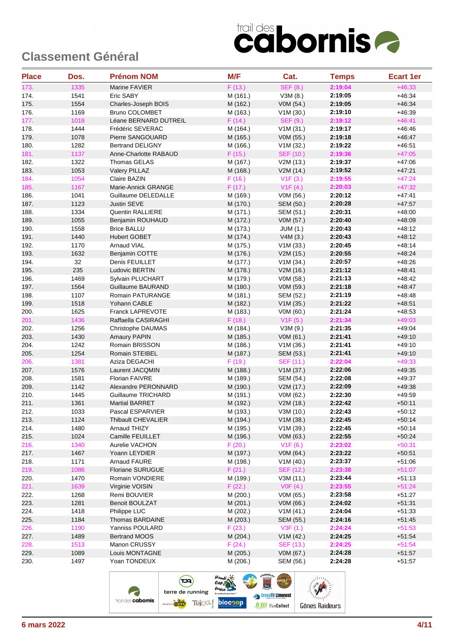| <b>Place</b> | Dos. | <b>Prénom NOM</b>       | M/F      | Cat.             | <b>Temps</b> | <b>Ecart 1er</b> |
|--------------|------|-------------------------|----------|------------------|--------------|------------------|
| 173.         | 1335 | Marine FAVIER           | F(13.)   | <b>SEF (8.)</b>  | 2:19:04      | $+46:33$         |
| 174.         | 1541 | Eric SABY               | M (161.) | V3M(8.)          | 2:19:05      | $+46:34$         |
| 175.         | 1554 | Charles-Joseph BOIS     | M (162.) | V0M (54.)        | 2:19:05      | $+46:34$         |
| 176.         | 1169 | <b>Bruno COLOMBET</b>   | M (163.) | V1M(30.)         | 2:19:10      | $+46:39$         |
| 177.         | 1018 | Léane BERNARD DUTREIL   | F(14.)   | <b>SEF (9.)</b>  | 2:19:12      | $+46:41$         |
| 178.         | 1444 | Frédéric SEVERAC        | M (164.) | V1M(31.)         | 2:19:17      | $+46:46$         |
| 179.         | 1078 | Pierre SANGOUARD        | M (165.) | VOM (55.)        | 2:19:18      | $+46:47$         |
| 180.         | 1282 | <b>Bertrand DELIGNY</b> | M (166.) | V1M (32.)        | 2:19:22      | $+46.51$         |
| 181.         | 1137 | Anne-Charlotte RABAUD   | F(15.)   | <b>SEF (10.)</b> | 2:19:36      | $+47:05$         |
| 182.         | 1322 | Thomas GELAS            | M (167.) | V2M (13.)        | 2:19:37      | $+47:06$         |
| 183.         | 1053 | Valery PILLAZ           | M (168.) | V2M(14.)         | 2:19:52      | $+47:21$         |
| 184.         | 1054 | Claire BAZIN            | F(16.)   | V1F(3.)          | 2:19:55      | $+47:24$         |
| 185.         | 1167 | Marie-Annick GRANGE     | F(17.)   | V1F(4.)          | 2:20:03      | $+47:32$         |
| 186.         | 1041 | Guillaume DELEDALLE     | M (169.) | V0M (56.)        | 2:20:12      | $+47:41$         |
| 187.         | 1123 | Justin SEVE             | M (170.) | SEM (50.)        | 2:20:28      | $+47:57$         |
| 188.         | 1334 | Quentin RALLIERE        | M (171.) | SEM (51.)        | 2:20:31      | $+48:00$         |
| 189.         | 1055 | Benjamin ROUHAUD        | M (172.) | VOM (57.)        | 2:20:40      | $+48:09$         |
| 190.         | 1558 | <b>Brice BALLU</b>      | M (173.) | JUM (1.)         | 2:20:43      | $+48:12$         |
| 191.         | 1440 | <b>Hubert GOBET</b>     | M (174.) | V4M(3.)          | 2:20:43      | $+48:12$         |
| 192.         | 1170 | <b>Arnaud VIAL</b>      | M (175.) | V1M(33.)         | 2:20:45      | $+48:14$         |
| 193.         | 1632 | Benjamin COTTE          | M (176.) | V2M (15.)        | 2:20:55      | $+48.24$         |
| 194.         | 32   | Denis FEUILLET          | M (177.) | V1M (34.)        | 2:20:57      | $+48:26$         |
| 195.         | 235  | Ludovic BERTIN          | M (178.) | V2M (16.)        | 2:21:12      | $+48.41$         |
| 196.         | 1469 | Sylvain PLUCHART        | M (179.) | V0M (58.)        | 2:21:13      | $+48:42$         |
| 197.         | 1564 | Guillaume BAURAND       | M (180.) | V0M (59.)        | 2:21:18      | $+48:47$         |
| 198.         | 1107 | Romain PATURANGE        | M (181.) | SEM (52.)        | 2:21:19      | $+48:48$         |
| 199.         | 1518 | Yohann CABLE            | M (182.) | V1M(35.)         | 2:21:22      | $+48.51$         |
| 200.         | 1625 | <b>Franck LAPREVOTE</b> | M (183.) | V0M (60.)        | 2:21:24      | $+48:53$         |
| 201.         | 1436 | Raffaella CASIRAGHI     | F(18.)   | V1F(5.)          | 2:21:34      | $+49:03$         |
| 202.         | 1256 | Christophe DAUMAS       | M (184.) | V3M(9.)          | 2:21:35      | $+49:04$         |
| 203.         | 1430 | <b>Amaury PAPIN</b>     | M (185.) | V0M (61.)        | 2:21:41      | $+49:10$         |
| 204.         | 1242 | Romain BRISSON          | M (186.) | V1M(36.)         | 2:21:41      | $+49:10$         |
| 205.         | 1254 | Romain STEIBEL          | M (187.) | <b>SEM (53.)</b> | 2:21:41      | $+49:10$         |
| 206.         | 1381 | Aziza DEGACHI           | F(19.)   | SEF (11.)        | 2:22:04      | $+49:33$         |
| 207.         | 1576 | Laurent JACQMIN         | M (188.) | V1M (37.)        | 2:22:06      | $+49:35$         |
| 208.         | 1581 | Florian FAIVRE          | M (189.) | SEM (54.)        | 2:22:08      | $+49:37$         |
| 209.         | 1142 | Alexandre PERONNARD     | M (190.) | V2M (17.)        | 2:22:09      | $+49.38$         |
| 210.         | 1445 | Guillaume TRICHARD      | M (191.) | V0M (62.)        | 2:22:30      | $+49.59$         |
| 211.         | 1361 | <b>Martial BARRET</b>   | M (192.) | V2M (18.)        | 2:22:42      | $+50:11$         |
| 212.         | 1033 | Pascal ESPARVIER        | M (193.) | V3M (10.)        | 2:22:43      | $+50:12$         |
| 213.         | 1124 | Thibault CHEVALIER      | M (194.) | V1M (38.)        | 2:22:45      | $+50:14$         |
| 214.         | 1480 | Arnaud THIZY            | M (195.) | V1M(39.)         | 2:22:45      | $+50:14$         |
| 215.         | 1024 | Camille FEUILLET        | M (196.) | V0M (63.)        | 2:22:55      | $+50:24$         |
| 216.         | 1340 | Aurelie VACHON          | F(20.)   | V1F(6.)          | 2:23:02      | $+50:31$         |
| 217.         | 1467 | Yoann LEYDIER           | M (197.) | V0M (64.)        | 2:23:22      | $+50:51$         |
| 218.         | 1171 | Arnaud FAURE            | M (198.) | V1M(40.)         | 2:23:37      | $+51:06$         |
| 219.         | 1086 | Floriane SURUGUE        | F(21.)   | SEF (12.)        | 2:23:38      | $+51:07$         |
| 220.         | 1470 | Romain VONDIERE         | M (199.) | V3M(11.)         | 2:23:44      | $+51:13$         |
| 221.         | 1639 | Virginie VOISIN         | F(22.)   | VOF(4.)          | 2:23:55      | $+51:24$         |
| 222.         | 1268 | Remi BOUVIER            | M (200.) | V0M (65.)        | 2:23:58      | $+51:27$         |
| 223.         | 1281 | <b>Benoit BOULZAT</b>   | M (201.) | V0M (66.)        | 2:24:02      | $+51:31$         |
| 224.         | 1418 | Philippe LUC            | M (202.) | V1M(41.)         | 2:24:04      | $+51:33$         |
| 225.         | 1184 | Thomas BARDAINE         | M (203.) | SEM (55.)        | 2:24:16      | $+51:45$         |
| 226.         | 1190 | Yanniss POULARD         | F(23.)   | V3F(1.)          | 2:24:24      | $+51:53$         |
| 227.         | 1489 | <b>Bertrand MOOS</b>    | M (204.) | V1M (42.)        | 2:24:25      | $+51:54$         |
| 228.         | 1513 | Manon CRUSSY            | F(24.)   | SEF (13.)        | 2:24:25      | $+51:54$         |
| 229.         | 1089 | Louis MONTAGNE          | M (205.) | V0M (67.)        | 2:24:28      | $+51:57$         |
| 230.         | 1497 | Yoan TONDEUX            | M (206.) | SEM (56.)        | 2:24:28      | $+51:57$         |
|              |      |                         |          |                  |              |                  |

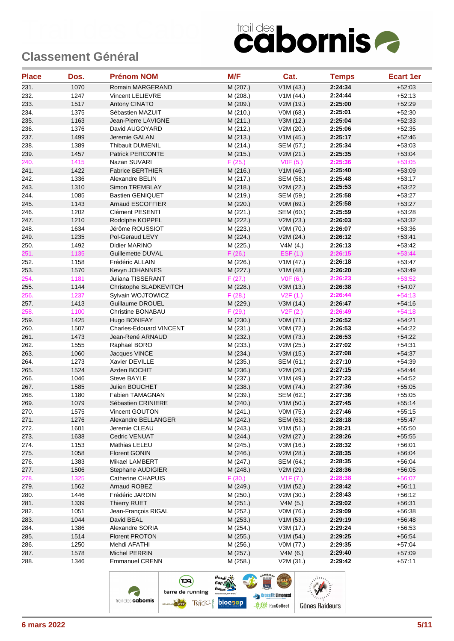| <b>Place</b> | Dos. | <b>Prénom NOM</b>              | M/F                | Cat.            | <b>Temps</b> | <b>Ecart 1er</b> |
|--------------|------|--------------------------------|--------------------|-----------------|--------------|------------------|
| 231.         | 1070 | Romain MARGERAND               | M (207.)           | V1M(43.)        | 2:24:34      | $+52:03$         |
| 232.         | 1247 | Vincent LELIEVRE               | M (208.)           | V1M (44.)       | 2:24:44      | $+52:13$         |
| 233.         | 1517 | Antony CINATO                  | M (209.)           | V2M (19.)       | 2:25:00      | $+52:29$         |
| 234.         | 1375 | Sébastien MAZUIT               | M (210.)           | V0M (68.)       | 2:25:01      | $+52:30$         |
| 235.         | 1163 | Jean-Pierre LAVIGNE            | M (211.)           | V3M (12.)       | 2:25:04      | $+52:33$         |
| 236.         | 1376 | David AUGOYARD                 | M (212.)           | V2M (20.)       | 2:25:06      | $+52:35$         |
| 237.         | 1499 | Jeremie GALAN                  | M (213.)           | V1M(45.)        | 2:25:17      | $+52:46$         |
| 238.         | 1389 | Thibault DUMENIL               | M (214.)           | SEM (57.)       | 2:25:34      | $+53:03$         |
| 239.         | 1457 | <b>Patrick PERCONTE</b>        | M (215.)           | V2M (21.)       | 2:25:35      | $+53:04$         |
| 240.         | 1415 | Nazan SUVARI                   | F(25.)             | VOF(5.)         | 2:25:36      | $+53:05$         |
| 241.         | 1422 | <b>Fabrice BERTHIER</b>        | M (216.)           | V1M(46.)        | 2:25:40      | $+53:09$         |
| 242.         | 1336 | Alexandre BELIN                | M (217.)           | SEM (58.)       | 2:25:48      | $+53:17$         |
| 243.         | 1310 | Simon TREMBLAY                 | M (218.)           | V2M (22.)       | 2:25:53      | $+53:22$         |
| 244.         | 1085 | <b>Bastien GENIQUET</b>        | M (219.)           | SEM (59.)       | 2:25:58      | $+53:27$         |
| 245.         | 1143 | Arnaud ESCOFFIER               | M (220.)           | V0M (69.)       | 2:25:58      | $+53:27$         |
| 246.         | 1202 | Clément PESENTI                | M (221.)           | SEM (60.)       | 2:25:59      | $+53:28$         |
| 247.         | 1210 | Rodolphe KOPPEL                | M (222.)           | V2M (23.)       | 2:26:03      | $+53:32$         |
| 248.         | 1634 | Jérôme ROUSSIOT                | M (223.)           | V0M (70.)       | 2:26:07      | $+53:36$         |
| 249.         | 1235 | Pol-Geraud LEVY                | M (224.)           | V2M (24.)       | 2:26:12      | $+53.41$         |
| 250.         | 1492 | Didier MARINO                  | M (225.)           | V4M(4.)         | 2:26:13      | $+53:42$         |
| 251.         | 1135 | Guillemette DUVAL              | F(26.)             | <b>ESF (1.)</b> | 2:26:15      | $+53:44$         |
| 252.         | 1158 | Frédéric ALLAIN                | M (226.)           | V1M (47.)       | 2:26:18      | $+53:47$         |
| 253.         | 1570 | Kevyn JOHANNES                 | M (227.)           | V1M (48.)       | 2:26:20      | $+53.49$         |
| 254.         | 1181 | Juliana TISSERANT              | F(27.)             |                 | 2:26:23      | $+53:52$         |
| 255.         | 1144 | Christophe SLADKEVITCH         |                    | VOF(6.)         | 2:26:38      | $+54:07$         |
| 256.         | 1237 | Sylvain WOJTOWICZ              | M (228.)<br>F(28.) | V3M (13.)       | 2:26:44      | $+54:13$         |
|              |      |                                |                    | V2F(1.)         |              |                  |
| 257.         | 1413 | Guillaume DROUEL               | M (229.)           | V3M (14.)       | 2:26:47      | $+54.16$         |
| 258.         | 1100 | Christine BONABAU              | F(29.)             | V2F(2.)         | 2:26:49      | $+54:18$         |
| 259.         | 1425 | Hugo BONIFAY                   | M (230.)           | V0M (71.)       | 2:26:52      | $+54:21$         |
| 260.         | 1507 | <b>Charles-Edouard VINCENT</b> | M (231.)           | V0M (72.)       | 2:26:53      | $+54:22$         |
| 261.         | 1473 | Jean-René ARNAUD               | M (232.)           | V0M (73.)       | 2:26:53      | $+54:22$         |
| 262.         | 1555 | Raphael BORO                   | M (233.)           | V2M (25.)       | 2:27:02      | $+54.31$         |
| 263.         | 1060 | Jacques VINCE                  | M (234.)           | V3M (15.)       | 2:27:08      | $+54:37$         |
| 264.         | 1273 | Xavier DEVILLE                 | M (235.)           | SEM (61.)       | 2:27:10      | $+54.39$         |
| 265.         | 1524 | Azden BOCHIT                   | M (236.)           | V2M (26.)       | 2:27:15      | $+54.44$         |
| 266.         | 1046 | Steve BAYLE                    | M (237.)           | V1M(49.)        | 2:27:23      | $+54.52$         |
| 267.         | 1585 | Julien BOUCHET                 | M (238.)           | V0M (74.)       | 2:27:36      | $+55:05$         |
| 268.         | 1180 | Fabien TAMAGNAN                | M (239.)           | SEM (62.)       | 2:27:36      | $+55:05$         |
| 269.         | 1079 | Sébastien CRINIERE             | M (240.)           | V1M(50.)        | 2:27:45      | $+55:14$         |
| 270.         | 1575 | Vincent GOUTON                 | M (241.)           | V0M (75.)       | 2:27:46      | $+55:15$         |
| 271.         | 1276 | Alexandre BELLANGER            | M (242.)           | SEM (63.)       | 2:28:18      | $+55:47$         |
| 272.         | 1601 | Jeremie CLEAU                  | M (243.)           | V1M(51.)        | 2:28:21      | $+55:50$         |
| 273.         | 1638 | Cedric VENUAT                  | M (244.)           | V2M (27.)       | 2:28:26      | $+55:55$         |
| 274.         | 1153 | Mathias LELEU                  | M (245.)           | V3M (16.)       | 2:28:32      | $+56:01$         |
| 275.         | 1058 | <b>Florent GONIN</b>           | M (246.)           | V2M (28.)       | 2:28:35      | $+56:04$         |
| 276.         | 1383 | Mikael LAMBERT                 | M (247.)           | SEM (64.)       | 2:28:35      | $+56:04$         |
| 277.         | 1506 | Stephane AUDIGIER              | M (248.)           | V2M (29.)       | 2:28:36      | $+56:05$         |
| 278.         | 1325 | Catherine CHAPUIS              | F(30.)             | V1F (7.)        | 2:28:38      | $+56:07$         |
| 279.         | 1562 | Arnaud ROBEZ                   | M (249.)           | V1M(52.)        | 2:28:42      | $+56:11$         |
| 280.         | 1446 | Frédéric JARDIN                | M (250.)           | V2M (30.)       | 2:28:43      | $+56:12$         |
| 281.         | 1339 | <b>Thierry RUET</b>            | M (251.)           | V4M(5.)         | 2:29:02      | $+56:31$         |
| 282.         | 1051 | Jean-François RIGAL            | M (252.)           | V0M (76.)       | 2:29:09      | $+56:38$         |
| 283.         | 1044 | David BEAL                     | M (253.)           | V1M(53.)        | 2:29:19      | $+56:48$         |
| 284.         | 1386 | Alexandre SORIA                | M (254.)           | V3M(17.)        | 2:29:24      | $+56:53$         |
| 285.         | 1514 | <b>Florent PROTON</b>          | M (255.)           | V1M(54.)        | 2:29:25      | $+56:54$         |
| 286.         | 1250 | Mehdi AFATHI                   | M (256.)           | V0M (77.)       | 2:29:35      | $+57:04$         |
| 287.         | 1578 | Michel PERRIN                  | M (257.)           | V4M(6.)         | 2:29:40      | $+57:09$         |
| 288.         | 1346 | <b>Emmanuel CRENN</b>          | M (258.)           | V2M (31.)       | 2:29:42      | $+57:11$         |

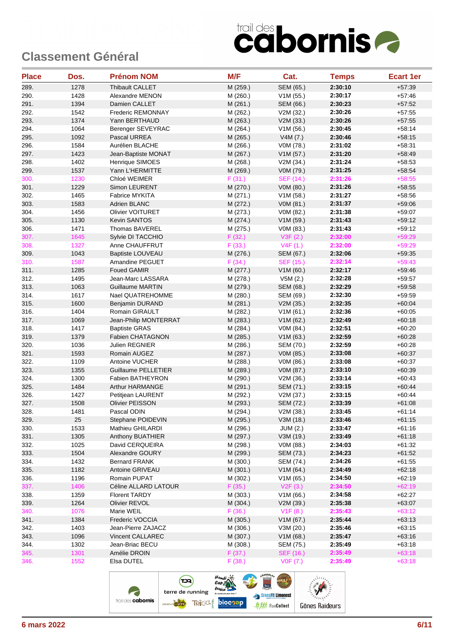| <b>Place</b> | Dos.         | <b>Prénom NOM</b>              | M/F                  | Cat.                   | <b>Temps</b>       | <b>Ecart 1er</b>     |
|--------------|--------------|--------------------------------|----------------------|------------------------|--------------------|----------------------|
| 289.         | 1278         | Thibault CALLET                | M (259.)             | SEM (65.)              | 2:30:10            | $+57:39$             |
| 290.         | 1428         | Alexandre MENON                | M (260.)             | V1M (55.)              | 2:30:17            | $+57:46$             |
| 291.         | 1394         | Damien CALLET                  | M (261.)             | SEM (66.)              | 2:30:23            | $+57:52$             |
| 292.         | 1542         | Frederic REMONNAY              | M (262.)             | V2M (32.)              | 2:30:26            | $+57:55$             |
| 293.         | 1374         | Yann BERTHAUD                  | M (263.)             | V2M (33.)              | 2:30:26            | $+57:55$             |
| 294.         | 1064         | Berenger SEVEYRAC              | M (264.)             | V1M (56.)              | 2:30:45            | $+58:14$             |
| 295.         | 1092         | Pascal URREA                   | M (265.)             | V4M (7.)               | 2:30:46            | $+58:15$             |
| 296.         | 1584         | Aurélien BLACHE                | M (266.)             | V0M (78.)              | 2:31:02            | $+58:31$             |
| 297.         | 1423         | Jean-Baptiste MONAT            | M (267.)             | V1M (57.)              | 2:31:20            | $+58.49$             |
| 298.         | 1402         | Henrique SIMOES                | M (268.)             | V2M (34.)              | 2:31:24            | $+58:53$             |
| 299.         | 1537         | Yann L'HERMITTE                | M (269.)             | V0M (79.)              | 2:31:25            | $+58:54$             |
| 300.         | 1230         | Chloé WEIMER                   | F(31.)               | <b>SEF (14.)</b>       | 2:31:26            | $+58:55$             |
| 301.         | 1229         | Simon LEURENT                  | M (270.)             | V0M (80.)              | 2:31:26            | $+58:55$             |
| 302.         | 1465         | Fabrice MYKITA                 | M (271.)             | V1M(58.)               | 2:31:27            | $+58:56$             |
| 303.         | 1583         | Adrien BLANC                   | M (272.)             | V0M (81.)              | 2:31:37            | $+59:06$             |
| 304.         | 1456         | <b>Olivier VOITURET</b>        | M (273.)             | V0M (82.)              | 2:31:38            | $+59:07$             |
| 305.         | 1130         | <b>Kevin SANTOS</b>            | M (274.)             | V1M (59.)              | 2:31:43            | $+59:12$             |
| 306.         | 1471         | Thomas BAVEREL                 | M (275.)             | V0M (83.)              | 2:31:43            | $+59:12$             |
| 307.         | 1645         | Sylvie DI TACCHIO              | F(32.)               | V3F(2.)                | 2:32:00            | $+59:29$             |
| 308.         | 1327         | Anne CHAUFFRUT                 | F(33.)               | V4F(1.)                | 2:32:00            | $+59:29$             |
| 309.         | 1043         | <b>Baptiste LOUVEAU</b>        | M (276.)             | SEM (67.)              | 2:32:06            | $+59:35$             |
| 310.         | 1587         | Amandine PEGUET                | F(34.)               | SEF (15.)              | 2:32:14            | $+59:43$             |
| 311.         | 1285         | <b>Foued GAMIR</b>             | M (277.)             | V1M(60.)               | 2:32:17            | $+59.46$             |
| 312.         | 1495         | Jean-Marc LASSARA              | M (278.)             | V5M(2.)                | 2:32:28            | $+59:57$             |
| 313.         | 1063         | <b>Guillaume MARTIN</b>        | M (279.)             | SEM (68.)              | 2:32:29            | $+59:58$             |
| 314.         | 1617         | Nael QUATREHOMME               | M (280.)             | SEM (69.)              | 2:32:30            | $+59.59$             |
| 315.         | 1600         | Benjamin DURAND                | M (281.)             | V2M (35.)              | 2:32:35            | $+60:04$             |
| 316.         | 1404         | Romain GIRAULT                 | M (282.)             | V1M(61.)               | 2:32:36            | $+60:05$             |
| 317.         | 1069         | Jean-Philip MONTERRAT          | M (283.)             | V1M(62.)               | 2:32:49            | $+60:18$             |
| 318.         | 1417         | <b>Baptiste GRAS</b>           | M (284.)             | V0M (84.)              | 2:32:51            | $+60:20$             |
| 319.         | 1379         | <b>Fabien CHATAGNON</b>        | M (285.)             | V1M(63.)               | 2:32:59            | $+60:28$             |
| 320.<br>321. | 1036<br>1593 | Julien REGNIER<br>Romain AUGEZ | M (286.)<br>M (287.) | SEM (70.)              | 2:32:59<br>2:33:08 | $+60:28$<br>$+60:37$ |
| 322.         | 1109         | Antoine VUCHER                 | M (288.)             | V0M (85.)<br>V0M (86.) | 2:33:08            | $+60:37$             |
| 323.         | 1355         | <b>Guillaume PELLETIER</b>     | M (289.)             | V0M (87.)              | 2:33:10            | $+60:39$             |
| 324.         | 1300         | <b>Fabien BATHEYRON</b>        | M (290.)             | V2M (36.)              | 2:33:14            | $+60:43$             |
| 325.         | 1484         | Arthur HARMANGE                | M (291.)             | SEM (71.)              | 2:33:15            | $+60.44$             |
| 326.         | 1427         | Petitjean LAURENT              | M (292.)             | V2M (37.)              | 2:33:15            | $+60:44$             |
| 327.         | 1508         | Olivier PEISSON                | M (293.)             | SEM (72.)              | 2:33:39            | $+61:08$             |
| 328.         | 1481         | Pascal ODIN                    | M (294.)             | V2M (38.)              | 2:33:45            | $+61:14$             |
| 329.         | 25           | Stephane POIDEVIN              | M (295.)             | V3M (18.)              | 2:33:46            | $+61:15$             |
| 330.         | 1533         | Mathieu GHILARDI               | M (296.)             | <b>JUM (2.)</b>        | 2:33:47            | $+61:16$             |
| 331.         | 1305         | Anthony BUATHIER               | M (297.)             | V3M (19.)              | 2:33:49            | $+61:18$             |
| 332.         | 1025         | David CERQUEIRA                | M (298.)             | V0M (88.)              | 2:34:03            | $+61:32$             |
| 333.         | 1504         | Alexandre GOURY                | M (299.)             | SEM (73.)              | 2:34:23            | $+61:52$             |
| 334.         | 1432         | <b>Bernard FRANK</b>           | M (300.)             | SEM (74.)              | 2:34:26            | $+61:55$             |
| 335.         | 1182         | Antoine GRIVEAU                | M (301.)             | V1M(64.)               | 2:34:49            | $+62:18$             |
| 336.         | 1196         | Romain PUPAT                   | M (302.)             | V1M(65.)               | 2:34:50            | $+62:19$             |
| 337.         | 1406         | Céline ALLARD LATOUR           | F(35.)               | V2F(3.)                | 2:34:50            | $+62:19$             |
| 338.         | 1359         | <b>Florent TARDY</b>           | M (303.)             | V1M(66.)               | 2:34:58            | $+62:27$             |
| 339.         | 1264         | Olivier REVOL                  | M (304.)             | V2M (39.)              | 2:35:38            | $+63:07$             |
| 340.         | 1076         | Marie WEIL                     | F(36.)               | V1F(8.)                | 2:35:43            | $+63:12$             |
| 341.         | 1384         | Frederic VOCCIA                | M (305.)             | V1M (67.)              | 2:35:44            | $+63:13$             |
| 342.         | 1403         | Jean-Pierre ZAJACZ             | M (306.)             | V3M(20.)               | 2:35:46            | $+63:15$             |
| 343.         | 1096         | Vincent CALLAREC               | M (307.)             | V1M(68.)               | 2:35:47            | $+63:16$             |
| 344.         | 1302         | Jean-Briac BECU                | M (308.)             | SEM (75.)              | 2:35:49            | $+63:18$             |
| 345.         | 1301         | Amélie DROIN                   | F(37.)               | SEF (16.)              | 2:35:49            | $+63:18$             |
| 346.         | 1552         | Elsa DUTEL                     | F(38.)               | VOF (7.)               | 2:35:49            | $+63:18$             |
|              |              |                                |                      |                        |                    |                      |

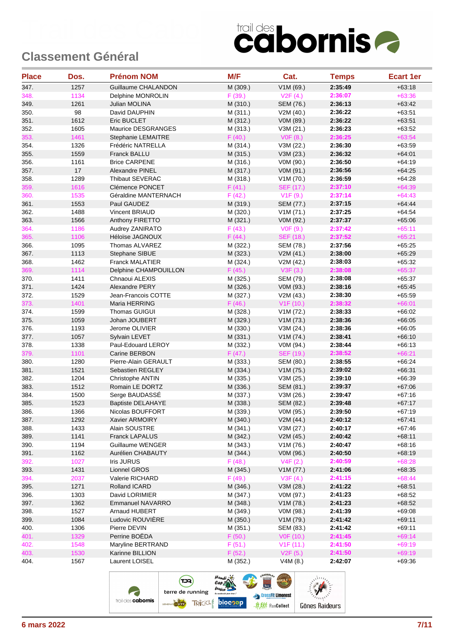| <b>Place</b> | Dos.   | <b>Prénom NOM</b>        | M/F                | Cat.                 | <b>Temps</b>       | <b>Ecart 1er</b> |
|--------------|--------|--------------------------|--------------------|----------------------|--------------------|------------------|
| 347.         | 1257   | Guillaume CHALANDON      | M (309.)           | V1M (69.)            | 2:35:49            | $+63:18$         |
| 348.         | 1134   | Delphine MONROLIN        | F(39.)             | V2F(4.)              | 2:36:07            | $+63:36$         |
| 349.         | 1261   | Julian MOLINA            | M (310.)           | SEM (76.)            | 2:36:13            | $+63:42$         |
| 350.         | 98     | David DAUPHIN            | M (311.)           | V2M (40.)            | 2:36:22            | $+63:51$         |
| 351.         | 1612   | <b>Eric BUCLET</b>       | M (312.)           | V0M (89.)            | 2:36:22            | $+63:51$         |
| 352.         | 1605   | Maurice DESGRANGES       | M (313.)           | V3M(21.)             | 2:36:23            | $+63:52$         |
| 353.         | 1461   | Stephanie LEMAITRE       | F(40.)             | V0F (8.)             | 2:36:25            | $+63:54$         |
| 354.         | 1326   | Frédéric NATRELLA        | M (314.)           | V3M (22.)            | 2:36:30            | $+63:59$         |
| 355.         | 1559   | <b>Franck BALLU</b>      | M (315.)           | V3M (23.)            | 2:36:32            | $+64:01$         |
| 356.         | 1161   | <b>Brice CARPENE</b>     | M (316.)           | V0M (90.)            | 2:36:50            | $+64:19$         |
| 357.         | $17\,$ | Alexandre PINEL          | M (317.)           | V0M (91.)            | 2:36:56            | $+64:25$         |
| 358.         | 1289   | Thibaut SEVERAC          | M (318.)           | V1M (70.)            | 2:36:59            | $+64.28$         |
| 359.         | 1616   | Clémence PONCET          | F(41.)             | SEF (17.)            | 2:37:10            | $+64:39$         |
| 360.         | 1535   | Géraldine MANTERNACH     | F(42.)             | V1F(9.)              | 2:37:14            | $+64:43$         |
| 361.         | 1553   | Paul GAUDEZ              | M (319.)           | SEM (77.)            | 2:37:15            | $+64.44$         |
| 362.         | 1488   | Vincent BRIAUD           | M (320.)           | V1M (71.)            | 2:37:25            | $+64:54$         |
| 363.         | 1566   | Anthony FIRETTO          | M (321.)           | V0M (92.)            | 2:37:37            | $+65:06$         |
| 364.         | 1186   | Audrey ZANIRATO          | F(43.)             | VOF(9.)              | 2:37:42            | $+65:11$         |
| 365.         | 1106   | Héloïse JAGNOUX          | F(44.)             | <b>SEF (18.)</b>     | 2:37:52            | $+65:21$         |
| 366.         | 1095   | Thomas ALVAREZ           | M (322.)           | SEM (78.)            | 2:37:56            | $+65:25$         |
| 367.         | 1113   | Stephane SIBUE           | M (323.)           | V2M(41.)             | 2:38:00            | $+65:29$         |
| 368.         | 1462   | <b>Franck MALATIER</b>   | M (324.)           | V2M (42.)            | 2:38:03            | $+65:32$         |
| 369.         | 1114   | Delphine CHAMPOUILLON    | F(45.)             | V3F(3.)              | 2:38:08            | $+65:37$         |
| 370.         | 1411   | Chnaoui ALEXIS           | M (325.)           | SEM (79.)            | 2:38:08            | $+65:37$         |
| 371.         | 1424   | <b>Alexandre PERY</b>    | M (326.)           | V0M (93.)            | 2:38:16            | $+65:45$         |
| 372.         | 1529   | Jean-Francois COTTE      | M (327.)           | V2M (43.)            | 2:38:30            | $+65:59$         |
| 373.         | 1401   | Maria HERRING            | F(46.)             | V1F(10.)             | 2:38:32            | $+66:01$         |
| 374.         | 1599   | <b>Thomas GUIGUI</b>     | M (328.)           | V1M (72.)            | 2:38:33            | $+66:02$         |
| 375.         | 1059   | Johan JOUBERT            | M (329.)           | V1M (73.)            | 2:38:36            | $+66:05$         |
| 376.         | 1193   | Jerome OLIVIER           | M (330.)           | V3M (24.)            | 2:38:36            | $+66:05$         |
| 377.         | 1057   | Sylvain LEVET            | M (331.)           | V1M (74.)            | 2:38:41            | $+66:10$         |
| 378.         | 1338   | Paul-Edouard LEROY       | M (332.)           | V0M (94.)            | 2:38:44            | $+66:13$         |
| 379.         | 1101   | Carine BERBON            | F(47.)             | SEF (19.)            | 2:38:52            | $+66:21$         |
| 380.         | 1280   | Pierre-Alain GERAULT     | M (333.)           | SEM (80.)            | 2:38:55            | $+66:24$         |
| 381.         | 1521   | Sebastien REGLEY         | M (334.)           | V1M (75.)            | 2:39:02            | $+66:31$         |
| 382.         | 1204   | Christophe ANTIN         | M (335.)           | V3M (25.)            | 2:39:10            | $+66:39$         |
| 383.         | 1512   | Romain LE DORTZ          | M (336.)           | SEM (81.)            | 2:39:37            | $+67:06$         |
| 384.         | 1500   | Serge BAUDASSÉ           | M (337.)           | V3M (26.)            | 2:39:47            | $+67:16$         |
| 385.         | 1523   | <b>Baptiste DELAHAYE</b> | M (338.)           | SEM (82.)            | 2:39:48            | $+67:17$         |
| 386.         | 1366   | Nicolas BOUFFORT         | M (339.)           | V0M (95.)            | 2:39:50            | $+67:19$         |
| 387.         | 1292   | Xavier ARMOIRY           | M (340.)           | V2M (44.)            | 2:40:12            | $+67:41$         |
| 388.         | 1433   | Alain SOUSTRE            | M (341.)           | V3M (27.)            | 2:40:17            | $+67:46$         |
| 389.         | 1141   | Franck LAPALUS           | M (342.)           | V2M(45.)             | 2:40:42            | $+68:11$         |
| 390.         | 1194   | <b>Guillaume WENGER</b>  | M (343.)           | V1M (76.)            | 2:40:47            | $+68:16$         |
| 391.         | 1162   | Aurélien CHABAUTY        | M (344.)           | V0M (96.)            | 2:40:50            | $+68:19$         |
| 392.         | 1027   | Iris JURUS               | F(48.)             |                      | 2:40:59            | $+68:28$         |
| 393.         | 1431   | Lionnel GROS             |                    | V4F(2.)              | 2:41:06            | $+68:35$         |
| 394.         | 2037   | Valerie RICHARD          | M (345.)<br>F(49.) | V1M (77.)<br>V3F(4.) | 2:41:15            | $+68:44$         |
|              | 1271   | Rolland ICARD            |                    |                      |                    |                  |
| 395.         |        |                          | M (346.)           | V3M (28.)            | 2:41:22<br>2:41:23 | +68:51           |
| 396.         | 1303   | David LORIMIER           | M (347.)           | V0M (97.)            |                    | $+68:52$         |
| 397.         | 1362   | <b>Emmanuel NAVARRO</b>  | M (348.)           | V1M (78.)            | 2:41:23            | $+68:52$         |
| 398.         | 1527   | Arnaud HUBERT            | M (349.)           | V0M (98.)            | 2:41:39            | $+69:08$         |
| 399.         | 1084   | Ludovic ROUVIERE         | M (350.)           | V1M (79.)            | 2:41:42            | $+69:11$         |
| 400.         | 1306   | Pierre DEVIN             | M (351.)           | SEM (83.)            | 2:41:42            | $+69:11$         |
| 401.         | 1329   | Perrine BOËDA            | F(50.)             | V0F (10.)            | 2:41:45            | $+69:14$         |
| 402.         | 1548   | Maryline BERTRAND        | F(51.)             | V1F(11.)             | 2:41:50            | $+69:19$         |
| 403.         | 1530   | Karinne BILLION          | F(52.)             | V2F(5.)              | 2:41:50            | $+69:19$         |
| 404.         | 1567   | Laurent LOISEL           | M (352.)           | V4M(8.)              | 2:42:07            | $+69:36$         |

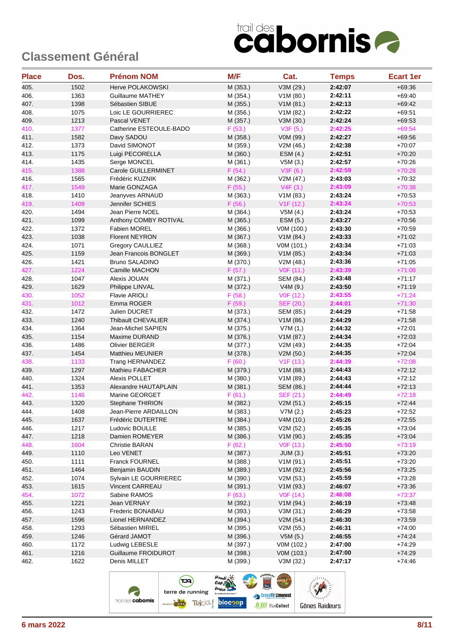| <b>Place</b> | Dos. | <b>Prénom NOM</b>         | M/F      | Cat.             | <b>Temps</b> | <b>Ecart 1er</b> |
|--------------|------|---------------------------|----------|------------------|--------------|------------------|
| 405.         | 1502 | Herve POLAKOWSKI          | M (353.) | V3M (29.)        | 2:42:07      | $+69:36$         |
| 406.         | 1363 | <b>Guillaume MATHEY</b>   | M (354.) | V1M(80.)         | 2:42:11      | $+69:40$         |
| 407.         | 1398 | Sébastien SIBUE           | M (355.) | V1M(81.)         | 2:42:13      | $+69:42$         |
| 408.         | 1075 | Loic LE GOURRIEREC        | M (356.) | V1M (82.)        | 2:42:22      | $+69:51$         |
| 409.         | 1213 | Pascal VENET              | M (357.) | V3M (30.)        | 2:42:24      | $+69:53$         |
| 410.         | 1377 | Catherine ESTEOULE-BADO   | F(53.)   | V3F(5.)          | 2:42:25      | $+69:54$         |
| 411.         | 1582 | Davy SADOU                | M (358.) | V0M (99.)        | 2:42:27      | $+69:56$         |
| 412.         | 1373 | David SIMONOT             | M (359.) | V2M (46.)        | 2:42:38      | $+70:07$         |
| 413.         | 1175 | Luigi PECORELLA           | M (360.) | ESM(4.)          | 2:42:51      | $+70:20$         |
| 414.         | 1435 | Serge MONCEL              | M (361.) | V5M(3.)          | 2:42:57      | $+70.26$         |
| 415.         | 1388 | Carole GUILLERMINET       | F(54.)   | V3F (6.)         | 2:42:59      | $+70:28$         |
| 416.         | 1565 | Frédéric KUZNIK           | M (362.) | V2M (47.)        | 2:43:03      | $+70:32$         |
| 417.         | 1549 | Marie GONZAGA             | F(55.)   | V4F(3.)          | 2:43:09      | $+70:38$         |
| 418.         | 1410 | Jeanyves ARNAUD           | M (363.) | V1M (83.)        | 2:43:24      | $+70:53$         |
| 419.         | 1409 | Jennifer SCHIES           | F(56.)   | V1F(12.)         | 2:43:24      | $+70:53$         |
| 420.         | 1494 | Jean Pierre NOEL          | M (364.) | V5M(4.)          | 2:43:24      | $+70:53$         |
| 421.         | 1099 | Anthony COMBY ROTIVAL     | M (365.) | ESM (5.)         | 2:43:27      | $+70:56$         |
| 422.         | 1372 | <b>Fabien MOREL</b>       | M (366.) | V0M (100.)       | 2:43:30      | $+70:59$         |
| 423.         | 1038 | <b>Florent NEYRON</b>     | M (367.) | V1M (84.)        | 2:43:33      | $+71:02$         |
| 424.         | 1071 | Gregory CAULLIEZ          | M (368.) | V0M (101.)       | 2:43:34      | $+71:03$         |
| 425.         | 1159 | Jean Francois BONGLET     | M (369.) | V1M(85.)         | 2:43:34      | $+71:03$         |
| 426.         | 1421 | <b>Bruno SALADINO</b>     | M (370.) | V2M (48.)        | 2:43:36      | $+71:05$         |
| 427.         | 1224 | Camille MACHON            | F(57.)   | VOF (11.)        | 2:43:39      | $+71:08$         |
| 428.         | 1047 | Alexis JOUAN              | M (371.) | SEM (84.)        | 2:43:48      | $+71:17$         |
| 429.         | 1629 | Philippe LINVAL           | M (372.) | V4M(9.)          | 2:43:50      | $+71:19$         |
| 430.         | 1052 | <b>Flavie ARIOLI</b>      | F(58.)   | V0F (12.)        | 2:43:55      | $+71:24$         |
| 431.         | 1012 | Emma ROGER                | F(59.)   | <b>SEF (20.)</b> | 2:44:01      | $+71:30$         |
| 432.         | 1472 | Julien DUCRET             | M (373.) | SEM (85.)        | 2:44:29      | $+71:58$         |
| 433.         | 1240 | <b>Thibault CHEVALIER</b> | M (374.) | V1M(86.)         | 2:44:29      | $+71:58$         |
| 434.         | 1364 | Jean-Michel SAPIEN        | M (375.) | V7M(1.)          | 2:44:32      | $+72:01$         |
| 435.         | 1154 | Maxime DURAND             | M (376.) | V1M (87.)        | 2:44:34      | $+72:03$         |
| 436.         | 1486 | <b>Olivier BERGER</b>     | M (377.) | V2M (49.)        | 2:44:35      | $+72:04$         |
| 437.         | 1454 | Matthieu MEUNIER          | M (378.) | V2M (50.)        | 2:44:35      | $+72:04$         |
| 438.         | 1133 | Trang HERNANDEZ           | F(60.)   | V1F(13.)         | 2:44:39      | $+72:08$         |
| 439.         | 1297 | Mathieu FABACHER          | M (379.) | V1M (88.)        | 2:44:43      | $+72:12$         |
| 440.         | 1324 | <b>Alexis POLLET</b>      | M (380.) | V1M (89.)        | 2:44:43      | $+72:12$         |
| 441.         | 1353 | Alexandre HAUTAPLAIN      | M (381.) | SEM (86.)        | 2:44:44      | $+72:13$         |
| 442.         | 1146 | Marine GEORGET            | F(61.)   | SEF (21.)        | 2:44:49      | $+72:18$         |
| 443.         | 1320 | Stephane THIRION          | M (382.) | V2M (51.)        | 2:45:15      | $+72:44$         |
| 444.         | 1408 | Jean-Pierre ARDAILLON     | M (383.) | V7M(2.)          | 2:45:23      | $+72:52$         |
| 445.         | 1637 | Frédéric DUTERTRE         | M (384.) | V4M (10.)        | 2:45:26      | $+72:55$         |
| 446.         | 1217 | Ludovic BOULLE            | M (385.) | V2M (52.)        | 2:45:35      | $+73:04$         |
| 447.         | 1218 | Damien ROMEYER            | M (386.) | V1M (90.)        | 2:45:35      | $+73:04$         |
| 448.         | 1604 | Christie BARAN            | F(62.)   | V0F (13.)        | 2:45:50      | $+73:19$         |
| 449.         | 1110 | Leo VENET                 | M (387.) | <b>JUM (3.)</b>  | 2:45:51      | $+73:20$         |
| 450.         | 1111 | <b>Franck FOURNEL</b>     | M (388.) | V1M(91.)         | 2:45:51      | $+73:20$         |
| 451.         | 1464 | <b>Benjamin BAUDIN</b>    | M (389.) | V1M (92.)        | 2:45:56      | $+73:25$         |
| 452.         | 1074 | Sylvain LE GOURRIEREC     | M (390.) | V2M (53.)        | 2:45:59      | $+73:28$         |
| 453.         | 1615 | Vincent CARREAU           | M (391.) | V1M (93.)        | 2:46:07      | $+73:36$         |
| 454.         | 1072 | Sabine RAMOS              | F(63.)   | VOF (14.)        | 2:46:08      | $+73:37$         |
| 455.         | 1221 | Jean VERNAY               | M (392.) | V1M (94.)        | 2:46:19      | $+73.48$         |
| 456.         | 1243 | Frederic BONABAU          | M (393.) | V3M (31.)        | 2:46:29      | $+73:58$         |
| 457.         | 1596 | Lionel HERNANDEZ          | M (394.) | V2M (54.)        | 2:46:30      | $+73:59$         |
| 458.         | 1293 | Sébastien MIRIEL          | M (395.) | V2M (55.)        | 2:46:31      | $+74:00$         |
| 459.         | 1246 | Gérard JAMOT              | M (396.) | V5M(5.)          | 2:46:55      | $+74:24$         |
| 460.         | 1172 | Ludwig LEBESLE            | M (397.) | V0M (102.)       | 2:47:00      | $+74.29$         |
| 461.         | 1216 | Guillaume FROIDUROT       | M (398.) | V0M (103.)       | 2:47:00      | $+74.29$         |
| 462.         | 1622 | Denis MILLET              | M (399.) | V3M (32.)        | 2:47:17      | $+74.46$         |
|              |      |                           |          |                  |              |                  |

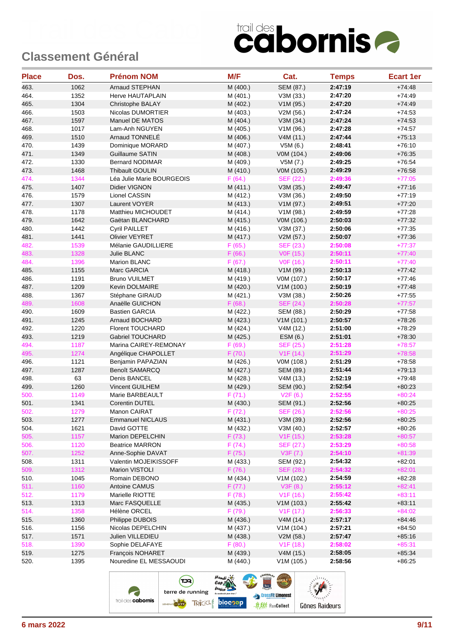| <b>Place</b> | Dos. | <b>Prénom NOM</b>         | M/F      | Cat.                   | <b>Temps</b> | <b>Ecart 1er</b> |
|--------------|------|---------------------------|----------|------------------------|--------------|------------------|
| 463.         | 1062 | <b>Arnaud STEPHAN</b>     | M (400.) | SEM (87.)              | 2:47:19      | $+74:48$         |
| 464.         | 1352 | Herve HAUTAPLAIN          | M (401.) | V3M (33.)              | 2:47:20      | $+74.49$         |
| 465.         | 1304 | Christophe BALAY          | M (402.) | V1M (95.)              | 2:47:20      | $+74.49$         |
| 466.         | 1503 | Nicolas DUMORTIER         | M (403.) | V2M (56.)              | 2:47:24      | $+74.53$         |
| 467.         | 1597 | Manuel DE MATOS           | M (404.) | V3M (34.)              | 2:47:24      | $+74.53$         |
| 468.         | 1017 | Lam-Anh NGUYEN            | M (405.) | V1M (96.)              | 2:47:28      | $+74.57$         |
| 469.         | 1510 | Arnaud TONNELE            | M (406.) | V4M(11.)               | 2:47:44      | $+75:13$         |
| 470.         | 1439 | Dominique MORARD          | M (407.) | V5M(6.)                | 2:48:41      | $+76:10$         |
| 471.         | 1349 | Guillaume SATIN           | M (408.) | V0M (104.)             | 2:49:06      | $+76:35$         |
| 472.         | 1330 | <b>Bernard NODIMAR</b>    | M (409.) | V5M (7.)               | 2:49:25      | $+76:54$         |
| 473.         | 1468 | Thibault GOULIN           | M (410.) | V0M (105.)             | 2:49:29      | $+76:58$         |
| 474.         | 1344 | Léa Julie Marie BOURGEOIS | F(64.)   | SEF (22.)              | 2:49:36      | $+77:05$         |
| 475.         | 1407 | Didier VIGNON             | M (411.) | V3M(35.)               | 2:49:47      | $+77:16$         |
| 476.         | 1579 | Lionel CASSIN             | M (412.) | V3M (36.)              | 2:49:50      | $+77:19$         |
| 477.         | 1307 | Laurent VOYER             | M (413.) | V1M (97.)              | 2:49:51      | $+77:20$         |
| 478.         | 1178 | Matthieu MICHOUDET        | M (414.) | V1M (98.)              | 2:49:59      | $+77:28$         |
| 479.         | 1642 | Gaëtan BLANCHARD          | M (415.) | V0M (106.)             | 2:50:03      | $+77:32$         |
| 480.         | 1442 | <b>Cyril PAILLET</b>      | M (416.) | V3M (37.)              | 2:50:06      | $+77:35$         |
| 481.         | 1441 | <b>Olivier VEYRET</b>     | M (417.) | V2M (57.)              | 2:50:07      | $+77:36$         |
| 482.         | 1539 | Mélanie GAUDILLIERE       | F(65.)   | <b>SEF (23.)</b>       | 2:50:08      | $+77:37$         |
| 483.         | 1328 | Julie BLANC               | F(66.)   | V0F (15.)              | 2:50:11      | $+77:40$         |
| 484.         | 1396 | Marion BLANC              | F(67.)   | V0F (16.)              | 2:50:11      | $+77:40$         |
| 485.         | 1155 | Marc GARCIA               | M (418.) | V1M (99.)              | 2:50:13      | $+77:42$         |
| 486.         | 1191 | <b>Bruno VUILMET</b>      | M (419.) | V0M (107.)             | 2:50:17      | $+77:46$         |
| 487.         | 1209 | Kevin DOLMAIRE            | M (420.) | V1M (100.)             | 2:50:19      | $+77:48$         |
| 488.         | 1367 | Stéphane GIRAUD           | M (421.) | V3M (38.)              | 2:50:26      | $+77:55$         |
| 489.         | 1608 | Anaëlle GUICHON           | F(68.)   | SEF (24.)              | 2:50:28      | $+77:57$         |
| 490.         | 1609 | <b>Bastien GARCIA</b>     | M (422.) | SEM (88.)              | 2:50:29      | $+77:58$         |
| 491.         | 1245 | Arnaud BOCHARD            | M (423.) | V1M(101.)              | 2:50:57      | $+78:26$         |
| 492.         | 1220 | Florent TOUCHARD          | M (424.) | V4M (12.)              | 2:51:00      | $+78:29$         |
| 493.         | 1219 | <b>Gabriel TOUCHARD</b>   | M (425.) | ESM (6.)               | 2:51:01      | $+78:30$         |
| 494.         | 1187 | Marina CAIREY-REMONAY     | F(69.)   | SEF (25.)              | 2:51:28      | $+78:57$         |
| 495.         | 1274 | Angélique CHAPOLLET       | F(70.)   | V1F(14.)               | 2:51:29      | $+78:58$         |
| 496.         | 1121 | Benjamin PAPAZIAN         | M (426.) | V0M (108.)             | 2:51:29      | $+78:58$         |
| 497.         | 1287 | <b>Benoît SAMARCQ</b>     | M (427.) | SEM (89.)              | 2:51:44      | $+79:13$         |
| 498.         | 63   | Denis BANCEL              | M (428.) | V4M(13.)               | 2:52:19      | $+79:48$         |
| 499.         | 1260 | Vincent GUILHEM           | M (429.) | SEM (90.)              | 2:52:54      | $+80:23$         |
| 500.         | 1149 | Marie BARBEAULT           | F(71.)   | V2F(6.)                | 2:52:55      | $+80:24$         |
| 501.         | 1341 | <b>Corentin DUTEL</b>     | M (430.) | SEM (91.)              | 2:52:56      | $+80:25$         |
| 502.         | 1279 | Manon CAIRAT              | F(72.)   | SEF (26.)              | 2:52:56      | $+80:25$         |
| 503.         | 1277 | <b>Emmanuel NICLAUS</b>   | M (431.) | V3M (39.)              | 2:52:56      | $+80:25$         |
| 504.         | 1621 | David GOTTE               | M (432.) | V3M (40.)              | 2:52:57      | $+80:26$         |
| 505.         | 1157 | Marion DEPELCHIN          | F(73.)   | V1F(15.)               | 2:53:28      | $+80:57$         |
| 506.         | 1120 | <b>Beatrice MARRON</b>    | F(74.)   | SEF (27.)              | 2:53:29      | $+80:58$         |
| 507.         | 1252 | Anne-Sophie DAVAT         | F(75.)   | V3F(7.)                | 2:54:10      | $+81:39$         |
| 508.         | 1311 | Valentin MOJEIKISSOFF     | M (433.) | SEM (92.)              | 2:54:32      | $+82:01$         |
| 509.         | 1312 | Marion VISTOLI            | F(76.)   | SEF (28.)              | 2:54:32      | $+82:01$         |
| 510.         | 1045 | Romain DEBONO             | M (434.) | V1M (102.)             | 2:54:59      | $+82:28$         |
| 511.         | 1160 | Antoine CAMUS             | F(77.)   | V3F(8.)                | 2:55:12      | $+82:41$         |
| 512.         | 1179 | Marielle RIOTTE           | F(78.)   | V1F(16.)               | 2:55:42      | $+83:11$         |
| 513.         | 1313 | Marc FASQUELLE            | M (435.) | V1M(103.)              | 2:55:42      | $+83:11$         |
| 514.         | 1358 | Hélène ORCEL              | F(79.)   | V <sub>1</sub> F (17.) | 2:56:33      | $+84:02$         |
| 515.         | 1360 | Philippe DUBOIS           | M (436.) | V4M(14.)               | 2:57:17      | $+84:46$         |
| 516.         | 1156 | Nicolas DEPELCHIN         | M (437.) | V1M(104.)              | 2:57:21      | $+84:50$         |
| 517.         | 1571 | Julien VILLEDIEU          | M (438.) | V2M (58.)              | 2:57:47      | $+85:16$         |
| 518.         | 1390 | Sophie DELAFAYE           | F(80.)   | V1F(18.)               | 2:58:02      | $+85:31$         |
| 519.         | 1275 | François NOHARET          | M (439.) | V4M (15.)              | 2:58:05      | $+85:34$         |
| 520.         | 1395 | Nouredine EL MESSAOUDI    | M (440.) | V1M (105.)             | 2:58:56      | $+86:25$         |
|              |      |                           |          |                        |              |                  |

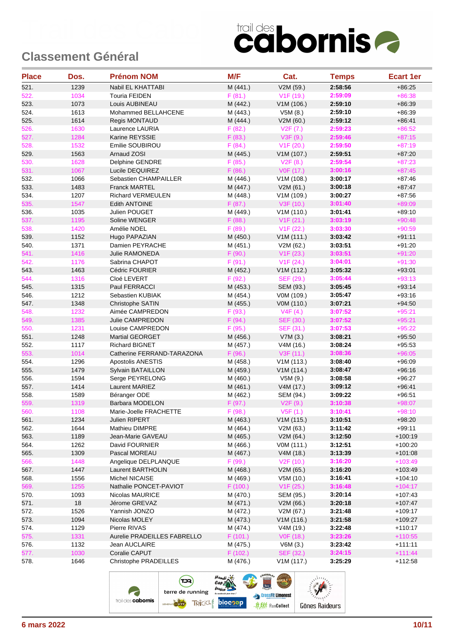| <b>Place</b> | Dos.         | <b>Prénom NOM</b>             | M/F                  | Cat.                   | <b>Temps</b>       | <b>Ecart 1er</b>       |
|--------------|--------------|-------------------------------|----------------------|------------------------|--------------------|------------------------|
| 521.         | 1239         | Nabil EL KHATTABI             | M (441.)             | V2M (59.)              | 2:58:56            | $+86:25$               |
| 522.         | 1034         | Touria FEIDEN                 | F(81.)               | V <sub>1</sub> F (19.) | 2:59:09            | $+86:38$               |
| 523.         | 1073         | Louis AUBINEAU                | M (442.)             | V1M(106.)              | 2:59:10            | $+86:39$               |
| 524.         | 1613         | Mohammed BELLAHCENE           | M (443.)             | V5M(8.)                | 2:59:10            | $+86:39$               |
| 525.         | 1614         | Regis MONTAUD                 | M (444.)             | V2M (60.)              | 2:59:12            | $+86.41$               |
| 526.         | 1630         | Laurence LAURIA               | F(82.)               | V2F(7.)                | 2:59:23            | $+86:52$               |
| 527.         | 1284         | Karine REYSSIE                | F(83.)               | V3F(9.)                | 2:59:46            | $+87:15$               |
| 528.         | 1532         | Emilie SOUBIROU               | F(84.)               | V1F(20.)               | 2:59:50            | $+87:19$               |
| 529.         | 1563         | Arnaud ZOSI                   | M (445.)             | V1M (107.)             | 2:59:51            | $+87:20$               |
| 530.         | 1628         | Delphine GENDRE               | F(85.)               | V2F(8.)                | 2:59:54            | $+87:23$               |
| 531.         | 1067         | Lucile DEQUIREZ               | F(86.)               | V0F (17.)              | 3:00:16            | $+87:45$               |
| 532.         | 1066         | Sebastien CHAMPAILLER         | M (446.)             | V1M (108.)             | 3:00:17            | $+87:46$               |
| 533.         | 1483         | <b>Franck MARTEL</b>          | M (447.)             | V2M(61.)               | 3:00:18            | $+87:47$               |
| 534.         | 1207         | <b>Richard VERMEULEN</b>      | M (448.)             | V1M (109.)             | 3:00:27            | $+87:56$               |
| 535.         | 1547         | <b>Edith ANTOINE</b>          | F(87.)               | V3F (10.)              | 3:01:40            | $+89:09$               |
| 536.         | 1035         | Julien POUGET                 | M (449.)             | V1M (110.)             | 3:01:41            | $+89:10$               |
| 537.         | 1195         | Soline WENGER                 | F(88.)               | V1F(21.)               | 3:03:19            | $+90:48$               |
| 538.         | 1420         | Amélie NOEL                   | F(89.)               | V1F(22.)               | 3:03:30            | $+90:59$               |
| 539.         | 1152         | Hugo PAPAZIAN                 | M (450.)             | V1M(111.)              | 3:03:42            | $+91:11$               |
| 540.         | 1371         | Damien PEYRACHE               | M (451.)             | V2M (62.)              | 3:03:51            | $+91:20$               |
| 541.         | 1416         | <b>Julie RAMONEDA</b>         | F(90.)               | V1F(23.)               | 3:03:51            | $+91:20$               |
| 542.         | 1176         | Sabrina CHAPOT                | F(91.)               | V1F(24.)               | 3:04:01            | $+91:30$               |
| 543.         | 1463         | Cédric FOURIER                | M (452.)             | V1M(112.)              | 3:05:32            | $+93:01$               |
| 544.         | 1316         | Cloé LEVERT                   | F(92.)               | SEF (29.)              | 3:05:44            | $+93:13$               |
| 545.         | 1315         | Paul FERRACCI                 | M (453.)             | SEM (93.)              | 3:05:45            | $+93:14$               |
| 546.         | 1212         | Sebastien KUBIAK              | M (454.)             | V0M (109.)             | 3:05:47            | $+93:16$               |
| 547.         | 1348         | Christophe SATIN              | M (455.)             | V0M (110.)             | 3:07:21            | $+94:50$               |
| 548.         | 1232         | Aimée CAMPREDON               | F(93.)               | V4F(4.)                | 3:07:52            | $+95:21$               |
| 549.         | 1385         | <b>Julie CAMPREDON</b>        | F(94.)               | <b>SEF (30.)</b>       | 3:07:52            | $+95:21$               |
| 550.         | 1231         | Louise CAMPREDON              | F(95.)               | SEF (31.)              | 3:07:53            | $+95:22$               |
| 551.         | 1248         | <b>Martial GEORGET</b>        | M (456.)             | V7M(3.)                | 3:08:21            | $+95:50$               |
| 552.         | 1117         | <b>Richard BIGNET</b>         | M (457.)             | V4M(16.)               | 3:08:24            | $+95:53$               |
| 553.         | 1014         | Catherine FERRAND-TARAZONA    | F(96.)               | V3F (11.)              | 3:08:36            | $+96:05$               |
| 554.         | 1296         | Apostolis ANESTIS             | M (458.)             | V1M (113.)             | 3:08:40            | $+96:09$               |
| 555.         | 1479         | Sylvain BATAILLON             | M (459.)             | V1M(114.)              | 3:08:47            | $+96:16$               |
| 556.         | 1594         | Serge PEYRELONG               | M (460.)             | V5M (9.)               | 3:08:58            | $+96:27$               |
| 557.         | 1414         | Laurent MARIEZ                | M (461.)             | V4M (17.)              | 3:09:12            | $+96:41$               |
| 558.         | 1589         | Béranger ODE                  | M (462.)             | SEM (94.)              | 3:09:22            | $+96:51$               |
| 559.         | 1319         | <b>Barbara MODELON</b>        | F(97.)               | V2F(9.)                | 3:10:38            | $+98:07$               |
| 560.         | 1108         | Marie-Joelle FRACHETTE        | F (98.)              | V5F(1.)                | 3:10:41            | $+98:10$               |
| 561.         | 1234         | Julien RIPERT                 | M (463.)             | V1M(115.)              | 3:10:51            | $+98:20$               |
| 562.         | 1644         | Mathieu DIMPRE                | M (464.)             | V2M (63.)              | 3:11:42            | $+99:11$               |
| 563.         | 1189         | Jean-Marie GAVEAU             | M (465.)             | V2M (64.)              | 3:12:50            | $+100:19$              |
| 564.         | 1262         | David FOURNIER                | M (466.)             | VOM (111.)             | 3:12:51            | $+100:20$              |
| 565.         | 1309         | Pascal MOREAU                 | M (467.)             | V4M (18.)              | 3:13:39            | $+101:08$              |
| 566.         | 1448         | Angelique DELPLANQUE          | F (99.)              | V <sub>2</sub> F (10.) | 3:16:20            | $+103:49$              |
| 567.         | 1447         | Laurent BARTHOLIN             | M (468.)             | V2M (65.)              | 3:16:20            | $+103:49$              |
| 568.         | 1556         | Michel NICAISE                | M (469.)             | V5M(10.)               | 3:16:41            | $+104:10$              |
| 569.         | 1255         | Nathalie PONCET-PAVIOT        | F(100.)              | V1F(25.)               | 3:16:48            | $+104:17$              |
| 570.         | 1093         | Nicolas MAURICE               | M (470.)             | SEM (95.)              | 3:20:14<br>3:20:18 | $+107:43$<br>$+107:47$ |
| 571.         | 18           | Jérome GREVAZ                 | M (471.)             | V2M(66.)               |                    |                        |
| 572.         | 1526         | Yannish JONZO                 | M (472.)             | V2M (67.)              | 3:21:48            | $+109:17$              |
| 573.<br>574. | 1094<br>1129 | Nicolas MOLEY<br>Pierre RIVAS | M (473.)<br>M (474.) | V1M(116.)<br>V4M (19.) | 3:21:58<br>3:22:48 | $+109:27$<br>$+110:17$ |
| 575.         | 1331         | Aurelie PRADEILLES FABRELLO   | F(101.)              | V0F (18.)              | 3:23:26            | $+110:55$              |
| 576.         | 1132         | Jean AUCLAIRE                 | M (475.)             | V6M(3.)                | 3:23:42            | $+111:11$              |
| 577.         | 1030         | Coralie CAPUT                 | F (102.)             | SEF (32.)              | 3:24:15            | $+111:44$              |
| 578.         | 1646         | Christophe PRADEILLES         | M (476.)             | V1M(117.)              | 3:25:29            | $+112:58$              |
|              |              |                               |                      |                        |                    |                        |